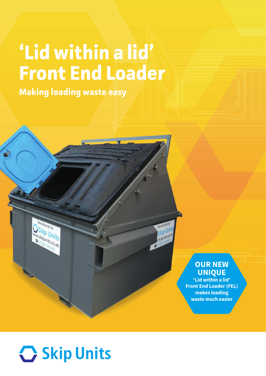## **'Lid within a lid' Front End Loader**

**Making loading waste easy**

## **OUR NEW UNIQUE**

kip Unit

skipunits.co.uk

**'Lid within a lid' Front End Loader (FEL) makes loading waste much easier**



tured by

<sup>kip</sup> Units

skipunits.co.uk